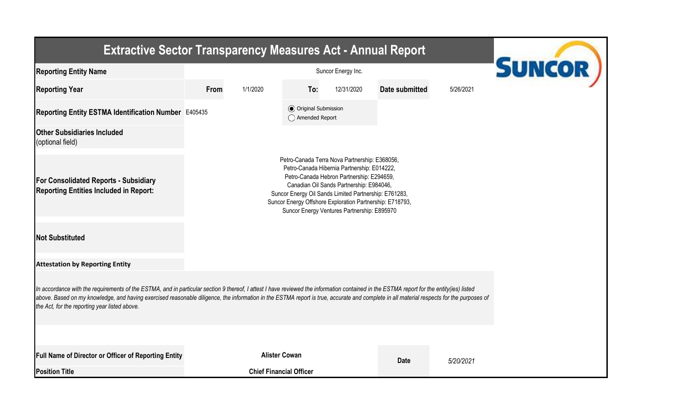| <b>Extractive Sector Transparency Measures Act - Annual Report</b>                                                                                                                                                                                                                                                                                                                                                                    | <b>SUNCOR</b>                                                                                                                                                                                                                                                                                                                                             |                                                  |            |                |           |  |  |  |  |  |  |
|---------------------------------------------------------------------------------------------------------------------------------------------------------------------------------------------------------------------------------------------------------------------------------------------------------------------------------------------------------------------------------------------------------------------------------------|-----------------------------------------------------------------------------------------------------------------------------------------------------------------------------------------------------------------------------------------------------------------------------------------------------------------------------------------------------------|--------------------------------------------------|------------|----------------|-----------|--|--|--|--|--|--|
| <b>Reporting Entity Name</b>                                                                                                                                                                                                                                                                                                                                                                                                          |                                                                                                                                                                                                                                                                                                                                                           | Suncor Energy Inc.                               |            |                |           |  |  |  |  |  |  |
| <b>Reporting Year</b>                                                                                                                                                                                                                                                                                                                                                                                                                 | From<br>1/1/2020                                                                                                                                                                                                                                                                                                                                          | To:                                              | 12/31/2020 | Date submitted | 5/26/2021 |  |  |  |  |  |  |
| Reporting Entity ESTMA Identification Number E405435                                                                                                                                                                                                                                                                                                                                                                                  |                                                                                                                                                                                                                                                                                                                                                           | <b>⊙</b> Original Submission<br>◯ Amended Report |            |                |           |  |  |  |  |  |  |
| <b>Other Subsidiaries Included</b><br>(optional field)                                                                                                                                                                                                                                                                                                                                                                                |                                                                                                                                                                                                                                                                                                                                                           |                                                  |            |                |           |  |  |  |  |  |  |
| <b>For Consolidated Reports - Subsidiary</b><br><b>Reporting Entities Included in Report:</b>                                                                                                                                                                                                                                                                                                                                         | Petro-Canada Terra Nova Partnership: E368056,<br>Petro-Canada Hibernia Partnership: E014222,<br>Petro-Canada Hebron Partnership: E294659,<br>Canadian Oil Sands Partnership: E984046,<br>Suncor Energy Oil Sands Limited Partnership: E761283,<br>Suncor Energy Offshore Exploration Partnership: E718793,<br>Suncor Energy Ventures Partnership: E895970 |                                                  |            |                |           |  |  |  |  |  |  |
| <b>Not Substituted</b>                                                                                                                                                                                                                                                                                                                                                                                                                |                                                                                                                                                                                                                                                                                                                                                           |                                                  |            |                |           |  |  |  |  |  |  |
| <b>Attestation by Reporting Entity</b>                                                                                                                                                                                                                                                                                                                                                                                                |                                                                                                                                                                                                                                                                                                                                                           |                                                  |            |                |           |  |  |  |  |  |  |
| In accordance with the requirements of the ESTMA, and in particular section 9 thereof, I attest I have reviewed the information contained in the ESTMA report for the entity(ies) listed<br>above. Based on my knowledge, and having exercised reasonable diligence, the information in the ESTMA report is true, accurate and complete in all material respects for the purposes of<br>the Act, for the reporting year listed above. |                                                                                                                                                                                                                                                                                                                                                           |                                                  |            |                |           |  |  |  |  |  |  |
| Full Name of Director or Officer of Reporting Entity<br><b>Position Title</b>                                                                                                                                                                                                                                                                                                                                                         | <b>Alister Cowan</b><br><b>Chief Financial Officer</b>                                                                                                                                                                                                                                                                                                    |                                                  |            | <b>Date</b>    | 5/20/2021 |  |  |  |  |  |  |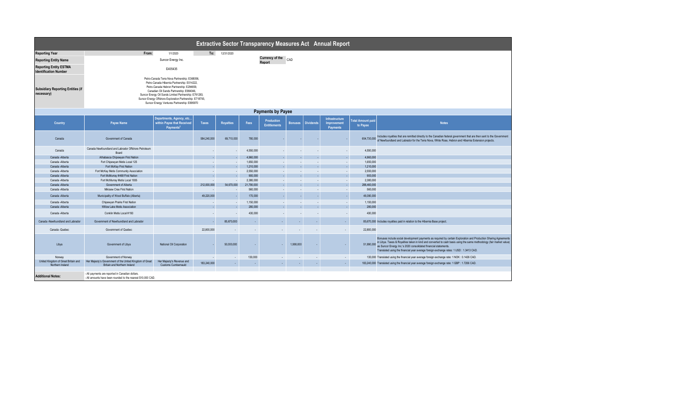| Extractive Sector Transparency Measures Act Annual Report     |                                                                                                                                                                                                                                                                                                                                                           |                                                                                 |                          |            |                          |                                   |                          |                          |                                                  |                                      |                                                                                                                                                                                                                                                                                                                                                                                                       |
|---------------------------------------------------------------|-----------------------------------------------------------------------------------------------------------------------------------------------------------------------------------------------------------------------------------------------------------------------------------------------------------------------------------------------------------|---------------------------------------------------------------------------------|--------------------------|------------|--------------------------|-----------------------------------|--------------------------|--------------------------|--------------------------------------------------|--------------------------------------|-------------------------------------------------------------------------------------------------------------------------------------------------------------------------------------------------------------------------------------------------------------------------------------------------------------------------------------------------------------------------------------------------------|
| <b>Reporting Year</b>                                         | From:                                                                                                                                                                                                                                                                                                                                                     | 1/1/2020                                                                        | To:                      | 12/31/2020 |                          |                                   |                          |                          |                                                  |                                      |                                                                                                                                                                                                                                                                                                                                                                                                       |
| <b>Reporting Entity Name</b>                                  |                                                                                                                                                                                                                                                                                                                                                           | Suncor Energy Inc.                                                              |                          |            |                          | <b>Currency of the</b><br>Report  | CAD                      |                          |                                                  |                                      |                                                                                                                                                                                                                                                                                                                                                                                                       |
| <b>Reporting Entity ESTMA</b><br><b>Identification Number</b> |                                                                                                                                                                                                                                                                                                                                                           | E405435                                                                         |                          |            |                          |                                   |                          |                          |                                                  |                                      |                                                                                                                                                                                                                                                                                                                                                                                                       |
| <b>Subsidiary Reporting Entities (if</b><br>necessary)        | Petro-Canada Terra Nova Partnership: E368056,<br>Petro-Canada Hibernia Partnership: E014222,<br>Petro-Canada Hebron Partnership: E294659.<br>Canadian Oil Sands Partnership: E984046,<br>Suncor Energy Oil Sands Limited Partnership: E761283,<br>Suncor Energy Offshore Exploration Partnership: E718793,<br>Suncor Energy Ventures Partnership: E895970 |                                                                                 |                          |            |                          |                                   |                          |                          |                                                  |                                      |                                                                                                                                                                                                                                                                                                                                                                                                       |
| <b>Payments by Payee</b>                                      |                                                                                                                                                                                                                                                                                                                                                           |                                                                                 |                          |            |                          |                                   |                          |                          |                                                  |                                      |                                                                                                                                                                                                                                                                                                                                                                                                       |
| Country                                                       | Payee Name                                                                                                                                                                                                                                                                                                                                                | Departments, Agency, etc<br>within Payee that Received<br>Payments <sup>2</sup> | <b>Taxes</b>             | Royalties  | Fees                     | Production<br><b>Entitlements</b> | <b>Bonuses</b>           | <b>Dividends</b>         | Infrastructure<br>Improvement<br><b>Payments</b> | <b>Total Amount paid</b><br>to Payee | <b>Notes</b>                                                                                                                                                                                                                                                                                                                                                                                          |
| Canada                                                        | Government of Canada                                                                                                                                                                                                                                                                                                                                      |                                                                                 | 584,240,000              | 69,710,000 | 780,000                  |                                   |                          |                          |                                                  | 654,730,000                          | Includes royalties that are remitted directly to the Canadian federal government that are then sent to the Government<br>of Newfoundland and Labrador for the Terra Nova, White Rose, Hebron and Hibernia Extension projects.                                                                                                                                                                         |
| Canada                                                        | Canada Newfoundland and Labrador Offshore Petroleum<br>Board                                                                                                                                                                                                                                                                                              |                                                                                 |                          |            | 4,550,000                |                                   |                          |                          |                                                  | 4,550,000                            |                                                                                                                                                                                                                                                                                                                                                                                                       |
| Canada - Alberta                                              | Athabasca Chipewyan First Nation                                                                                                                                                                                                                                                                                                                          |                                                                                 |                          |            | 4,960,000                |                                   |                          |                          |                                                  | 4,960,000                            |                                                                                                                                                                                                                                                                                                                                                                                                       |
| Canada -Alberta                                               | Fort Chipewyan Metis Local 125                                                                                                                                                                                                                                                                                                                            |                                                                                 | $\ddot{\phantom{0}}$     | $\sim$     | 1,650,000                |                                   |                          | $\overline{a}$           | $\sim$                                           | 1,650,000                            |                                                                                                                                                                                                                                                                                                                                                                                                       |
| Canada -Alberta                                               | Fort McKay First Nation                                                                                                                                                                                                                                                                                                                                   |                                                                                 |                          |            | 1,210,000                |                                   |                          |                          |                                                  | 1,210,000                            |                                                                                                                                                                                                                                                                                                                                                                                                       |
| Canada - Alberta                                              | Fort McKay Metis Community Association                                                                                                                                                                                                                                                                                                                    |                                                                                 |                          | $\sim$     | 2,550,000                |                                   | $\overline{\phantom{a}}$ | $\overline{\phantom{a}}$ |                                                  | 2,550,000                            |                                                                                                                                                                                                                                                                                                                                                                                                       |
| Canada -Alberta                                               | Fort McMurray #468 First Nation                                                                                                                                                                                                                                                                                                                           |                                                                                 |                          |            | 900,000                  | $\sim$                            | $\sim$                   | $\overline{a}$           | - 10                                             | 900,000                              |                                                                                                                                                                                                                                                                                                                                                                                                       |
| Canada -Alberta                                               | Fort McMurray Metis Local 1935                                                                                                                                                                                                                                                                                                                            |                                                                                 |                          | $\sim$     | 2.380.000                |                                   |                          |                          | $\sim$                                           | 2.380,000                            |                                                                                                                                                                                                                                                                                                                                                                                                       |
| Canada - Alberta                                              | Government of Alberta                                                                                                                                                                                                                                                                                                                                     |                                                                                 | 212,000,000              | 54,670,000 | 21,790,000               |                                   |                          |                          |                                                  | 288,460,000                          |                                                                                                                                                                                                                                                                                                                                                                                                       |
| Canada -Alberta                                               | Mikisew Cree First Nation                                                                                                                                                                                                                                                                                                                                 |                                                                                 |                          | ٠.         | 560,000                  | $\sim$                            | $\ddot{\phantom{1}}$     | $\overline{\phantom{a}}$ | $\sim$                                           | 560,000                              |                                                                                                                                                                                                                                                                                                                                                                                                       |
| Canada -Alberta                                               | Municipality of Wood Buffalo (Alberta)                                                                                                                                                                                                                                                                                                                    |                                                                                 | 49.220.000               |            | 170,000                  |                                   |                          |                          |                                                  | 49.390.000                           |                                                                                                                                                                                                                                                                                                                                                                                                       |
| Canada - Alberta                                              | Chipewyan Prairie First Nation                                                                                                                                                                                                                                                                                                                            |                                                                                 | $\overline{\phantom{a}}$ | $\sim$     | 1,150,000                | $\sim$                            | $\overline{\phantom{a}}$ | $\overline{\phantom{a}}$ | $\sim$                                           | 1,150,000                            |                                                                                                                                                                                                                                                                                                                                                                                                       |
| Canada -Alberta                                               | Willow Lake Metis Association                                                                                                                                                                                                                                                                                                                             |                                                                                 |                          |            | 280,000                  |                                   |                          |                          |                                                  | 280,000                              |                                                                                                                                                                                                                                                                                                                                                                                                       |
| Canada - Alberta                                              | Conklin Metis Local #193                                                                                                                                                                                                                                                                                                                                  |                                                                                 |                          |            | 430,000                  |                                   |                          |                          |                                                  | 430,000                              |                                                                                                                                                                                                                                                                                                                                                                                                       |
| Canada -Newfoundland and Labrador                             | Government of Newfoundland and Labrador                                                                                                                                                                                                                                                                                                                   |                                                                                 |                          | 85,670,000 | ٠                        |                                   |                          | ٠                        | $\sim$                                           |                                      | 85,670,000 Includes royalties paid in relation to the Hibernia Base project.                                                                                                                                                                                                                                                                                                                          |
| Canada -Quebec                                                | Government of Quebec                                                                                                                                                                                                                                                                                                                                      |                                                                                 | 22,800,000               |            | $\overline{\phantom{a}}$ |                                   |                          |                          |                                                  | 22,800,000                           |                                                                                                                                                                                                                                                                                                                                                                                                       |
| Libya                                                         | Government of Libya                                                                                                                                                                                                                                                                                                                                       | National Oil Corporation                                                        |                          | 50,000,000 | ٠                        |                                   | 1,990,000                |                          |                                                  | 51.990.000                           | Bonuses include social development payments as required by certain Exploration and Production Sharing Agreements<br>in Libya. Taxes & Royalties taken in kind and converted to cash basis using the same methodology (fair market value)<br>as Suncor Energy Inc.'s 2020 consolidated financial statements.<br>Translated using the financial year average foreign exchange rates: 1 USD: 1.3413 CAD. |
| Norway                                                        | Government of Norway                                                                                                                                                                                                                                                                                                                                      |                                                                                 | $\sim$                   | $\sim$     | 130,000                  | $\sim$                            | $\sim$                   | $\sim$                   | $\sim$                                           |                                      | 130,000 Translated using the financial year average foreign exchange rate: 1 NOK: 0.1426 CAD.                                                                                                                                                                                                                                                                                                         |
| United Kingdom of Great Britain and<br>Northern Ireland       | Her Majesty's Government of the United Kingdom of Great<br>Britain and Northern Ireland                                                                                                                                                                                                                                                                   | Her Majesty's Revenue and<br>Customs Cumbernauld                                | 183,240,000              |            | $\sim$                   | $\sim$                            | $\sim$                   | $\sim$                   | $\sim$                                           |                                      | 183,240,000 Translated using the financial year average foreign exchange rate: 1 GBP : 1.7206 CAD.                                                                                                                                                                                                                                                                                                    |
| <b>Additional Notes:</b>                                      | - All payments are reported in Canadian dollars.<br>- All amounts have been rounded to the nearest \$10,000 CAD.                                                                                                                                                                                                                                          |                                                                                 |                          |            |                          |                                   |                          |                          |                                                  |                                      |                                                                                                                                                                                                                                                                                                                                                                                                       |